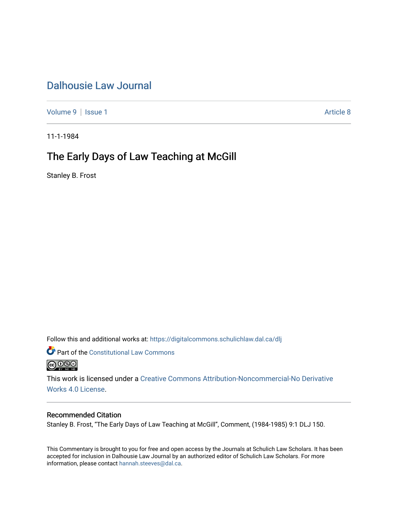## [Dalhousie Law Journal](https://digitalcommons.schulichlaw.dal.ca/dlj)

[Volume 9](https://digitalcommons.schulichlaw.dal.ca/dlj/vol9) | [Issue 1](https://digitalcommons.schulichlaw.dal.ca/dlj/vol9/iss1) Article 8

11-1-1984

## The Early Days of Law Teaching at McGill

Stanley B. Frost

Follow this and additional works at: [https://digitalcommons.schulichlaw.dal.ca/dlj](https://digitalcommons.schulichlaw.dal.ca/dlj?utm_source=digitalcommons.schulichlaw.dal.ca%2Fdlj%2Fvol9%2Fiss1%2F8&utm_medium=PDF&utm_campaign=PDFCoverPages) 

Part of the [Constitutional Law Commons](http://network.bepress.com/hgg/discipline/589?utm_source=digitalcommons.schulichlaw.dal.ca%2Fdlj%2Fvol9%2Fiss1%2F8&utm_medium=PDF&utm_campaign=PDFCoverPages) 



This work is licensed under a [Creative Commons Attribution-Noncommercial-No Derivative](https://creativecommons.org/licenses/by-nc-nd/4.0/)  [Works 4.0 License](https://creativecommons.org/licenses/by-nc-nd/4.0/).

## Recommended Citation

Stanley B. Frost, "The Early Days of Law Teaching at McGill", Comment, (1984-1985) 9:1 DLJ 150.

This Commentary is brought to you for free and open access by the Journals at Schulich Law Scholars. It has been accepted for inclusion in Dalhousie Law Journal by an authorized editor of Schulich Law Scholars. For more information, please contact [hannah.steeves@dal.ca](mailto:hannah.steeves@dal.ca).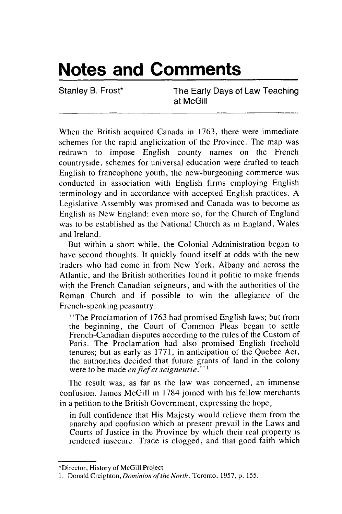## **Notes and Comments**

Stanley B. Frost\* The Early Days of Law Teaching at McGill

When the British acquired Canada in 1763, there were immediate schemes for the rapid anglicization of the Province. The map was redrawn to impose English county names on the French countryside, schemes for universal education were drafted to teach English to francophone youth, the new-burgeoning commerce was conducted in association with English firms employing English terminology and in accordance with accepted English practices. A Legislative Assembly was promised and Canada was to become as English as New England: even more so, for the Church of England was to be established as the National Church as in England, Wales and Ireland.

But within a short while, the Colonial Administration began to have second thoughts. It quickly found itself at odds with the new traders who had come in from New York, Albany and across the Atlantic, and the British authorities found it politic to make friends with the French Canadian seigneurs, and with the authorities of the Roman Church and if possible to win the allegiance of the French-speaking peasantry.

"The Proclamation of 1763 had promised English laws; but from the beginning, the Court of Common Pleas began to settle French-Canadian disputes according to the rules of the Custom of Paris. The Proclamation had also promised English freehold tenures; but as early as 1771, in anticipation of the Quebec Act, the authorities decided that future grants of land in the colony were to be made *enfief et seigneurie."1*

The result was, as far as the law was concerned, an immense confusion. James McGill in 1784 joined with his fellow merchants in a petition to the British Government, expressing the hope,

in full confidence that His Majesty would relieve them from the anarchy and confusion which at present prevail in the Laws and Courts of Justice in the Province by which their real property is rendered insecure. Trade is clogged, and that good faith which

<sup>\*</sup>Director, History of McGill Project

<sup>1.</sup> Donald Creighton, Dominion of the North, Toronto, 1957, p. 155.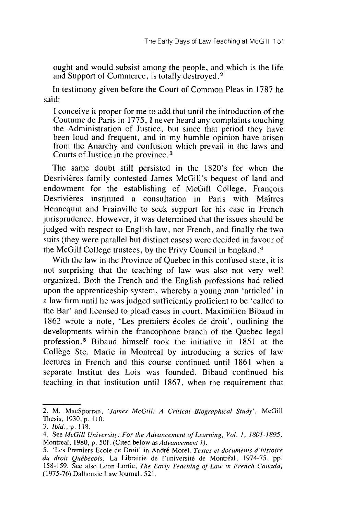ought and would subsist among the people, and which is the life and Support of Commerce, is totally destroyed. <sup>2</sup>

In testimony given before the Court of Common Pleas in 1787 he said:

I conceive it proper for me to add that until the introduction of the Coutume de Paris in 1775, I never heard any complaints touching the Administration of Justice, but since that period they have been loud and frequent, and in my humble opinion have arisen from the Anarchy and confusion which prevail in the laws and Courts of Justice in the province. <sup>3</sup>

The same doubt still persisted in the 1820's for when the Desrivières family contested James McGill's bequest of land and endowment for the establishing of McGill College, Frangois Desrivières instituted a consultation in Paris with Maîtres Hennequin and Frainville to seek support for his case in French jurisprudence. However, it was determined that the issues should be judged with respect to English law, not French, and finally the two suits (they were parallel but distinct cases) were decided in favour of the McGill College trustees, by the Privy Council in England. <sup>4</sup>

With the law in the Province of Quebec in this confused state, it is not surprising that the teaching of law was also not very well organized. Both the French and the English professions had relied upon the apprenticeship system, whereby a young man 'articled' in a law firm until he was judged sufficiently proficient to be 'called to the Bar' and licensed to plead cases in court. Maximilien Bibaud in 1862 wrote a note, 'Les premiers 6coles de droit', outlining the developments within the francophone branch of the Quebec legal profession. 5 Bibaud himself took the initiative in 1851 at the Collège Ste. Marie in Montreal by introducing a series of law lectures in French and this course continued until 1861 when a separate Institut des Lois was founded. Bibaud continued his teaching in that institution until 1867, when the requirement that

<sup>2.</sup> M. MacSporran, *'James McGill: A Critical Biographical Study',* McGill Thesis, 1930, p. 110.

<sup>3.</sup> *Ibid.,* p. 118.

<sup>4.</sup> See *McGill University: For the Advancement of Learning, Vol. 1, 1801-1895,* Montreal, 1980, p. **50f.** (Cited below as *Advancement 1).*

<sup>5. &#</sup>x27;Les Premiers Ecole de Droit' in Andr6 Morel, *Textes et documents d'histoire* du droit Québecois, La Librairie de l'université de Montréal, 1974-75, pp. 158-159. See also Leon Lortie, *The Early Teaching of Law in French Canada,* (1975-76) Dalhousie Law Journal, 521.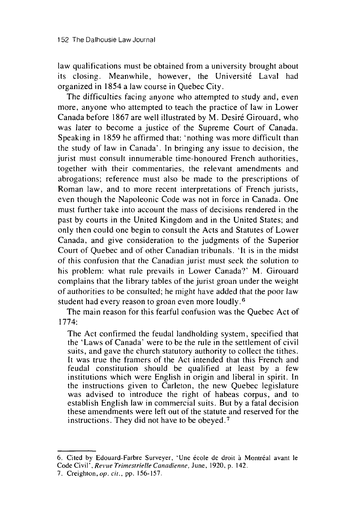law qualifications must be obtained from a university brought about its closing. Meanwhile, however, the Université Laval had organized in 1854 a law course in Quebec City.

The difficulties facing anyone who attempted to study and, even more, anyone who attempted to teach the practice of law in Lower Canada before 1867 are well illustrated by M. Desiré Girouard, who was later to become a justice of the Supreme Court of Canada. Speaking in 1859 he affirmed that: 'nothing was more difficult than the study of law in Canada'. In bringing any issue to decision, the jurist must consult innumerable time-honoured French authorities, together with their commentaries, the relevant amendments and abrogations; reference must also be made to the prescriptions of Roman law, and to more recent interpretations of French jurists, even though the Napoleonic Code was not in force in Canada. One must further take into account the mass of decisions rendered in the past by courts in the United Kingdom and in the United States; and only then could one begin to consult the Acts and Statutes of Lower Canada, and give consideration to the judgments of the Superior Court of Quebec and of other Canadian tribunals. 'It is in the midst of this confusion that the Canadian jurist must seek the solution to his problem: what rule prevails in Lower Canada?' M. Girouard complains that the library tables of the jurist groan under the weight of authorities to be consulted; he might have added that the poor law student had every reason to groan even more loudly. <sup>6</sup>

The main reason for this fearful confusion was the Quebec Act of 1774:

The Act confirmed the feudal landholding system, specified that the 'Laws of Canada' were to be the rule in the settlement of civil suits, and gave the church statutory authority to collect the tithes. It was true the framers of the Act intended that this French and feudal constitution should be qualified at least by a few institutions which were English in origin and liberal in spirit. In the instructions given to Carleton, the new Quebec legislature was advised to introduce the right of habeas corpus, and to establish English law in commercial suits. But by a fatal decision these amendments were left out of the statute and reserved for the instructions. They did not have to be obeyed. <sup>7</sup>

<sup>6.</sup> Cited by Edouard-Farbre Surveyer, 'Une école de droit à Montréal avant le Code Civil', *Revue Trimestrielle* Canadienne, June, 1920, p. 142.

<sup>7.</sup> Creighton,op. *cit.,* pp. 156-157.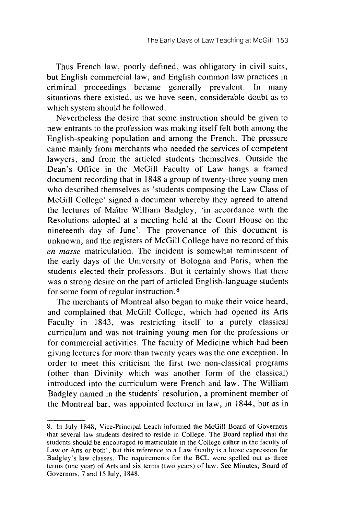Thus French law, poorly defined, was obligatory in civil suits, but English commercial law, and English common law practices in criminal proceedings became generally prevalent. In many situations there existed, as we have seen, considerable doubt as to which system should be followed.

Nevertheless the desire that some instruction should be given to new entrants to the profession was making itself felt both among the English-speaking population and among the French. The pressure came mainly from merchants who needed the services of competent lawyers, and from the articled students themselves. Outside the Dean's Office in the McGill Faculty of Law hangs a framed document recording that in 1848 a group of twenty-three young men who described themselves as 'students composing the Law Class of McGill College' signed a document whereby they agreed to attend the lectures of Maitre William Badgley, 'in accordance with the Resolutions adopted at a meeting held at the Court House on the nineteenth day of June'. The provenance of this document is unknown, and the registers of McGill College have no record of this *en masse* matriculation. The incident is somewhat reminiscent of the early days of the University of Bologna and Paris, when the students elected their professors. But it certainly shows that there was a strong desire on the part of articled English-language students for some form of regular instruction. <sup>8</sup>

The merchants of Montreal also began to make their voice heard, and complained that McGill College, which had opened its Arts Faculty in 1843, was restricting itself to a purely classical curriculum and was not training young men for the professions or for commercial activities. The faculty of Medicine which had been giving lectures for more than twenty years was the one exception. In order to meet this criticism the first two non-classical programs (other than Divinity which was another form of the classical) introduced into the curriculum were French and law. The William Badgley named in the students' resolution, a prominent member of the Montreal bar, was appointed lecturer in law, in 1844, but as in

<sup>8.</sup> In July 1848, Vice-Principal Leach informed the McGill Board of Governors that several law students desired to reside in College. The Board replied that the students should be encouraged to matriculate in the College either in the faculty of Law or Arts or both', but this reference to a Law faculty is a loose expression for Badgley's law classes. The requirements for the BCL were spelled out as three terms (one year) of Arts and six terms (two years) of law. See Minutes, Board of Governors, 7 and 15 July, 1848.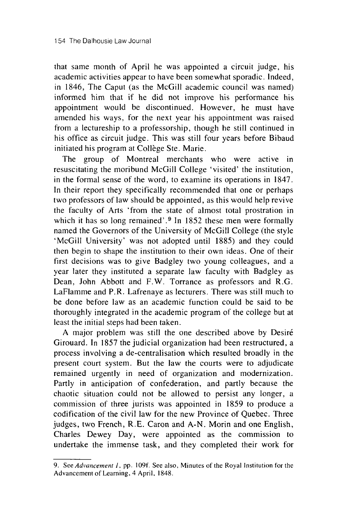that same month of April he was appointed a circuit judge, his academic activities appear to have been somewhat sporadic. Indeed, in 1846, The Caput (as the McGill academic council was named) informed him that if he did not improve his performance his appointment would be discontinued. However, he must have amended his ways, for the next year his appointment was raised from a lectureship to a professorship, though he still continued in his office as circuit judge. This was still four years before Bibaud initiated his program at Collège Ste. Marie.

The group of Montreal merchants who were active in resuscitating the moribund McGill College 'visited' the institution, in the formal sense of the word, to examine its operations in 1847. In their report they specifically recommended that one or perhaps two professors of law should be appointed, as this would help revive the faculty of Arts 'from the state of almost total prostration in which it has so long remained'.<sup>9</sup> In 1852 these men were formally named the Governors of the University of McGill College (the style 'McGill University' was not adopted until 1885) and they could then begin to shape the institution to their own ideas. One of their first decisions was to give Badgley two young colleagues, and a year later they instituted a separate law faculty with Badgley as Dean, John Abbott and F.W. Torrance as professors and R.G. LaFlamme and P.R. Lafrenaye as lecturers. There was still much to be done before law as an academic function could be said to be thoroughly integrated in the academic program of the college but at least the initial steps had been taken.

A major problem was still the one described above by Desir6 Girouard. In 1857 the judicial organization had been restructured, a process involving a de-centralisation which resulted broadly in the present court system. But the law the courts were to adjudicate remained urgently in need of organization and modernization. Partly in anticipation of confederation, and partly because the chaotic situation could not be allowed to persist any longer, a commission of three jurists was appointed in 1859 to produce a codification of the civil law for the new Province of Quebec. Three judges, two French, R.E. Caron and A-N. Morin and one English, Charles Dewey Day, were appointed as the commission to undertake the immense task, and they completed their work for

<sup>9.</sup> See *Advancement 1,* pp. 109f. See also, Minutes of the Royal Institution for the Advancement of Learning, 4 April, 1848.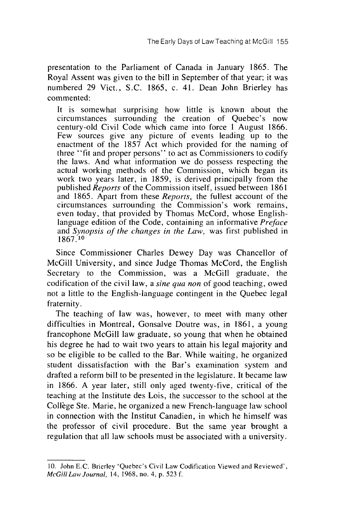presentation to the Parliament of Canada in January 1865. The Royal Assent was given to the bill in September of that year; it was numbered 29 Vict., S.C. 1865, c. 41. Dean John Brierley has commented:

It is somewhat surprising how little is known about the circumstances surrounding the creation of Quebec's now century-old Civil Code which came into force 1 August 1866. Few sources give any picture of events leading up to the enactment of the 1857 Act which provided for the naming of three "fit and proper persons" to act as Commissioners to codify the laws. And what information we do possess respecting the actual working methods of the Commission, which began its work two years later, in 1859, is derived principally from the published *Reports* of the Commission itself, issued between 1861 and 1865. Apart from these *Reports,* the fullest account of the circumstances surrounding the Commission's work remains, even today, that provided by Thomas McCord, whose Englishlanguage edition of the Code, containing an informative *Preface* and *Synopsis of the changes in the Law,* was first published in 1867.10

Since Commissioner Charles Dewey Day was Chancellor of McGill University, and since Judge Thomas McCord, the English Secretary to the Commission, was a McGill graduate, the codification of the civil law, a *sine qua non* of good teaching, owed not a little to the English-language contingent in the Quebec legal fraternity.

The teaching of law was, however, to meet with many other difficulties in Montreal, Gonsalve Doutre was, in 1861, a young francophone McGill law graduate, so young that when he obtained his degree he had to wait two years to attain his legal majority and so be eligible to be called to the Bar. While waiting, he organized student dissatisfaction with the Bar's examination system and drafted a reform bill to be presented in the legislature. It became law in 1866. A year later, still only aged twenty-five, critical of the teaching at the Institute des Lois, the successor to the school at the Collège Ste. Marie, he organized a new French-language law school in connection with the Institut Canadien, in which he himself was the professor of civil procedure. But the same year brought a regulation that all law schools must be associated with a university.

<sup>10.</sup> John E.C. Brierley 'Quebec's Civil Law Codification Viewed and Reviewed', *McGill Law Journal,* 14, 1968, no. 4, p. 523 f.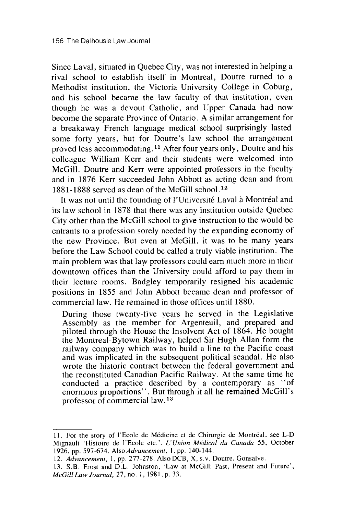Since Laval, situated in Quebec City, was not interested in helping a rival school to establish itself in Montreal, Doutre turned to a Methodist institution, the Victoria University College in Coburg, and his school became the law faculty of that institution, even though he was a devout Catholic, and Upper Canada had now become the separate Province of Ontario. A similar arrangement for a breakaway French language medical school surprisingly lasted some forty years, but for Doutre's law school the arrangement proved less accommodating. **1'** After four years only, Doutre and his colleague William Kerr and their students were welcomed into McGill. Doutre and Kerr were appointed professors in the faculty and in 1876 Kerr succeeded John Abbott as acting dean and from 1881-1888 served as dean of the McGill school. <sup>12</sup>

It was not until the founding of l'Université Laval à Montréal and its law school in 1878 that there was any institution outside Quebec City other than the McGill school to give instruction to the would be entrants to a profession sorely needed by the expanding economy of the new Province. But even at McGill, it was to be many years before the Law School could be called a truly viable institution. The main problem was that law professors could earn much more in their downtown offices than the University could afford to pay them in their lecture rooms. Badgley temporarily resigned his academic positions in 1855 and John Abbott became dean and professor of commercial law. He remained in those offices until 1880.

During those twenty-five years he served in the Legislative Assembly as the member for Argenteuil, and prepared and piloted through the House the Insolvent Act of 1864. He bought the Montreal-Bytown Railway, helped Sir Hugh Allan form the railway company which was to build a line to the Pacific coast and was implicated in the subsequent political scandal. He also wrote the historic contract between the federal government and the reconstituted Canadian Pacific Railway. At the same time he conducted a practice described by a contemporary as "of enormous proportions". But through it all he remained McGill's professor of commercial law. 13

<sup>11.</sup> For the story of I'Ecole de Mdicine et de Chirurgie de Montreal, see L-D Mignault 'Histoire de l'Ecole etc.'. *L'Union Medical du Canada* 55, October 1926, pp. 597-674. *Also Advancement,* 1, pp. 140-144.

<sup>12.</sup> *Advancement,* 1, pp. 277-278. Also DCB, X, s.v. Doutre, Gonsalve.

<sup>13.</sup> S.B. Frost and D.L. Johnston, 'Law at McGill: Past, Present and Future', *McGill Law Journal,* 27, no. 1, 1981, p. 33.